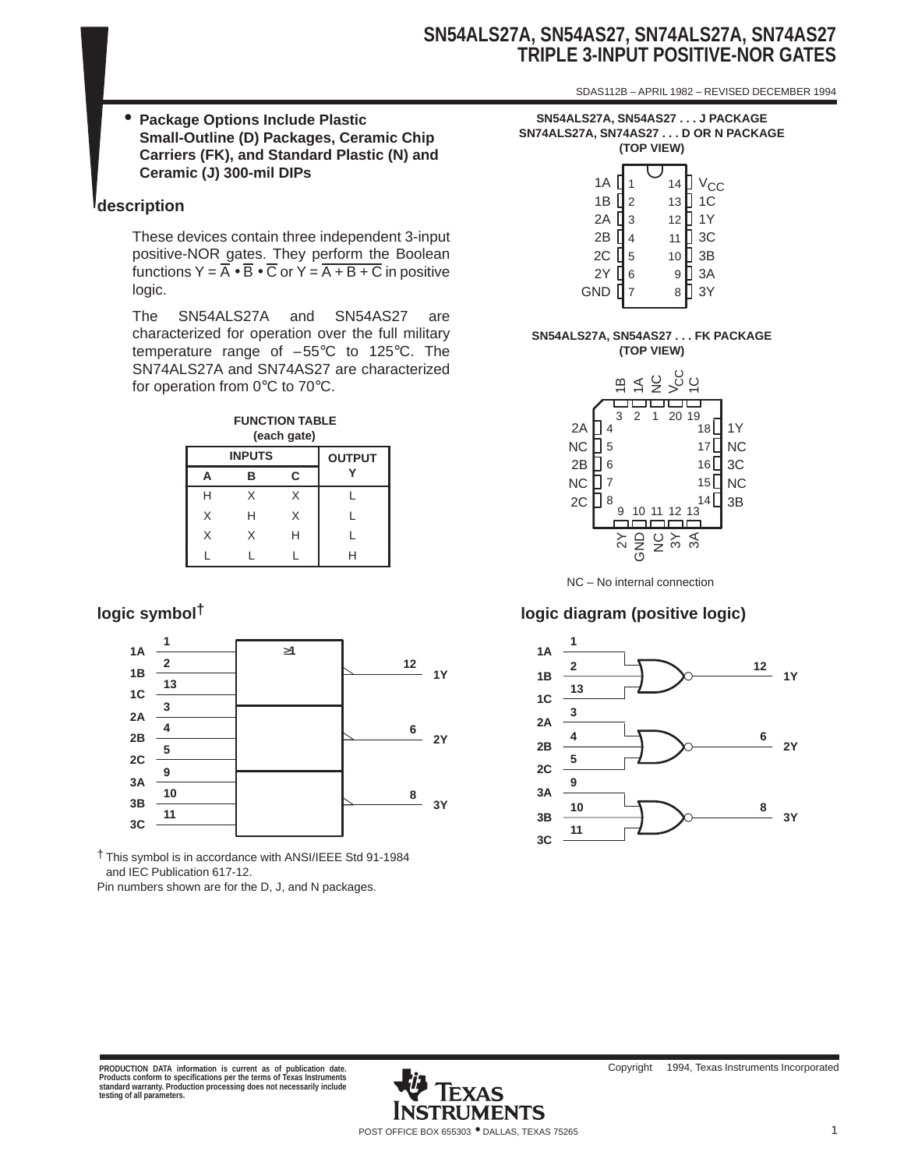# **SN54ALS27A, SN54AS27, SN74ALS27A, SN74AS27 TRIPLE 3-INPUT POSITIVE-NOR GATES**

SDAS112B – APRIL 1982 – REVISED DECEMBER 1994

• **Package Options Include Plastic Small-Outline (D) Packages, Ceramic Chip Carriers (FK), and Standard Plastic (N) and Ceramic (J) 300-mil DIPs**

## **description**

These devices contain three independent 3-input positive-NOR gates. They perform the Boolean functions  $Y = \overline{A} \cdot \overline{B} \cdot \overline{C}$  or  $Y = \overline{A + B + C}$  in positive logic.

The SN54ALS27A and SN54AS27 are characterized for operation over the full military temperature range of –55°C to 125°C. The SN74ALS27A and SN74AS27 are characterized for operation from 0°C to 70°C.



|   | <b>INPUTS</b> |   | <b>OUTPUT</b> |
|---|---------------|---|---------------|
| Д | в             | C |               |
| Н | X             | Χ |               |
| X | н             | X |               |
| X | X             | Н |               |
|   |               |   |               |



† This symbol is in accordance with ANSI/IEEE Std 91-1984 and IEC Publication 617-12.

Pin numbers shown are for the D, J, and N packages.

**SN54ALS27A, SN54AS27 . . . J PACKAGE SN74ALS27A, SN74AS27 . . . D OR N PACKAGE (TOP VIEW)**

| 1A<br>2A<br>2B<br>2C [ 5<br>2Y [ 6 | 1<br>1B $\sqrt{2}$<br>$\overline{3}$<br>4 | 14<br>13<br>12<br>11<br>10 | ] V <sub>CC</sub><br>] 1C<br> <br>  1Y<br>$\sqrt{3}$<br>] 3B |
|------------------------------------|-------------------------------------------|----------------------------|--------------------------------------------------------------|
|                                    | $\,$ 6 $\,$                               | 9                          |                                                              |
|                                    |                                           |                            | 3A<br>3Y                                                     |
| GND                                | $\overline{\mathcal{I}}$                  | 8                          |                                                              |

#### **SN54ALS27A, SN54AS27 . . . FK PACKAGE (TOP VIEW)**



# **logic symbol† logic diagram (positive logic)**

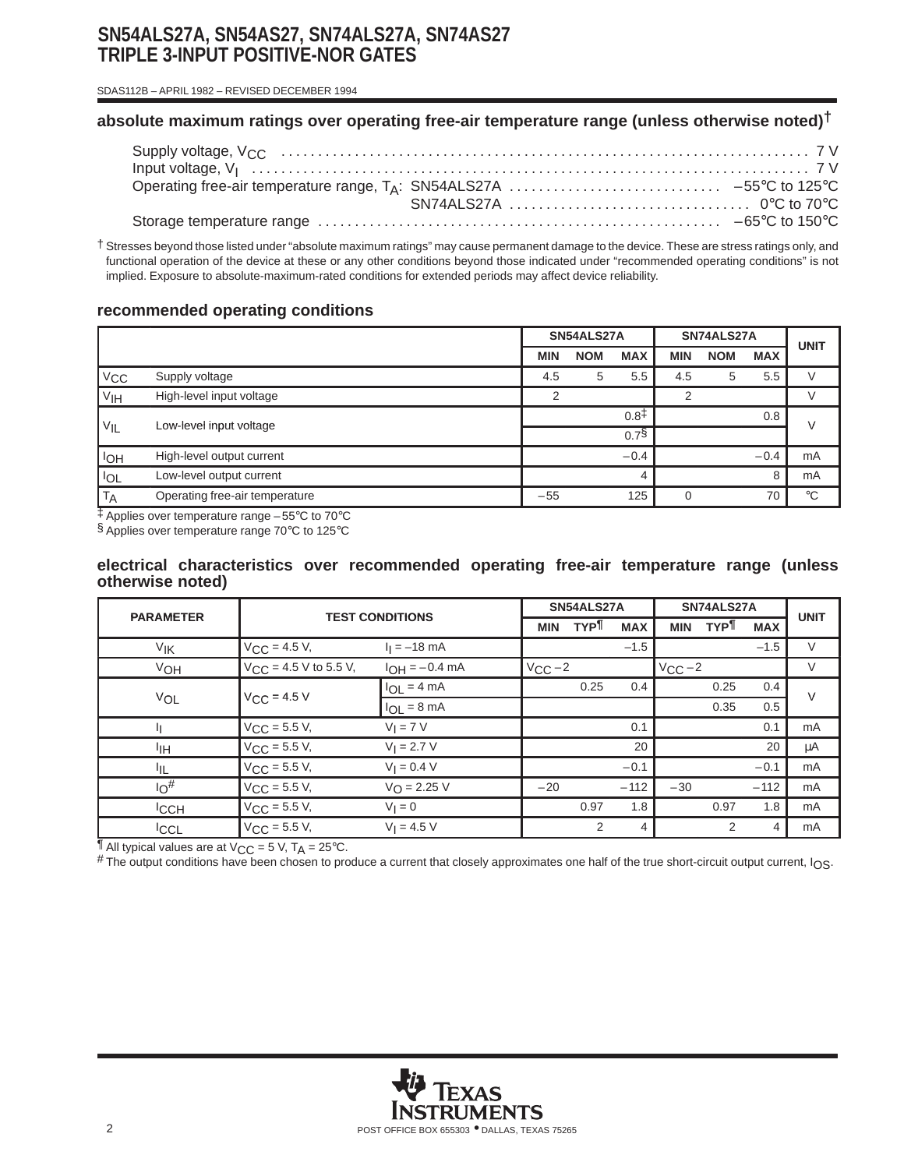# **SN54ALS27A, SN54AS27, SN74ALS27A, SN74AS27 TRIPLE 3-INPUT POSITIVE-NOR GATES**

SDAS112B – APRIL 1982 – REVISED DECEMBER 1994

## **absolute maximum ratings over operating free-air temperature range (unless otherwise noted)†**

† Stresses beyond those listed under "absolute maximum ratings" may cause permanent damage to the device. These are stress ratings only, and functional operation of the device at these or any other conditions beyond those indicated under "recommended operating conditions" is not implied. Exposure to absolute-maximum-rated conditions for extended periods may affect device reliability.

## **recommended operating conditions**

|                 |                                | SN54ALS27A |            | SN74ALS27A       |            |            | <b>UNIT</b> |             |
|-----------------|--------------------------------|------------|------------|------------------|------------|------------|-------------|-------------|
|                 |                                | <b>MIN</b> | <b>NOM</b> | <b>MAX</b>       | <b>MIN</b> | <b>NOM</b> | <b>MAX</b>  |             |
| $V_{CC}$        | Supply voltage                 | 4.5        | 5          | 5.5              | 4.5        | 5          | 5.5         |             |
| V <sub>IH</sub> | High-level input voltage       | 2          |            |                  | 2          |            |             |             |
|                 |                                |            |            | $0.8^{\ddagger}$ |            |            | 0.8         | $\vee$      |
| $V_{IL}$        | Low-level input voltage        |            |            | $0.7\$           |            |            |             |             |
| I <sub>OH</sub> | High-level output current      |            |            | $-0.4$           |            |            | $-0.4$      | mA          |
| $I_{OL}$        | Low-level output current       |            |            |                  |            |            | 8           | mA          |
| $ \mathsf{T_A}$ | Operating free-air temperature | $-55$      |            | 125              |            |            | 70          | $^{\circ}C$ |

‡ Applies over temperature range –55°C to 70°C

§ Applies over temperature range 70°C to 125°C

#### **electrical characteristics over recommended operating free-air temperature range (unless otherwise noted)**

| <b>PARAMETER</b> | <b>TEST CONDITIONS</b>     |                         |              | SN54ALS27A |            | SN74ALS27A  |            |            | <b>UNIT</b> |
|------------------|----------------------------|-------------------------|--------------|------------|------------|-------------|------------|------------|-------------|
|                  |                            |                         | <b>MIN</b>   | <b>TYP</b> | <b>MAX</b> | <b>MIN</b>  | <b>TYP</b> | <b>MAX</b> |             |
| V <sub>IK</sub>  | $V_{\text{CC}} = 4.5 V,$   | $I_1 = -18$ mA          |              |            | $-1.5$     |             |            | $-1.5$     | $\vee$      |
| VOH              | $V_{CC}$ = 4.5 V to 5.5 V, | $I_{OH} = -0.4$ mA      | $V_{CC} - 2$ |            |            | $V_{CC}$ -2 |            |            | $\vee$      |
|                  | $V_{C}C = 4.5 V$           | $I_{OL} = 4 mA$         |              | 0.25       | 0.4        |             | 0.25       | 0.4        | $\vee$      |
| VOL              |                            | $I_{OL} = 8 \text{ mA}$ |              |            |            |             | 0.35       | 0.5        |             |
| Ш                | $V_{CC}$ = 5.5 V,          | $V_I = 7 V$             |              |            | 0.1        |             |            | 0.1        | mA          |
| ŀщ               | $V_{CC}$ = 5.5 V,          | $V_1 = 2.7 V$           |              |            | 20         |             |            | 20         | μA          |
| ŀщ.              | $V_{CC}$ = 5.5 V,          | $V_1 = 0.4 V$           |              |            | $-0.1$     |             |            | $-0.1$     | mA          |
| $10^{\#}$        | $V_{\rm CC}$ = 5.5 V,      | $V_{\Omega} = 2.25 V$   | $-20$        |            | $-112$     | $-30$       |            | $-112$     | mA          |
| <sup>I</sup> CCH | $V_{\rm CC}$ = 5.5 V,      | $V_1 = 0$               |              | 0.97       | 1.8        |             | 0.97       | 1.8        | mA          |
| <b>ICCL</b>      | $V_{CC}$ = 5.5 V,          | $V_1 = 4.5 V$           |              | 2          | 4          |             | 2          | 4          | mA          |

 $\overline{\P}$  All typical values are at V<sub>CC</sub> = 5 V, T<sub>A</sub> = 25°C.

# The output conditions have been chosen to produce a current that closely approximates one half of the true short-circuit output current, I<sub>OS</sub>.

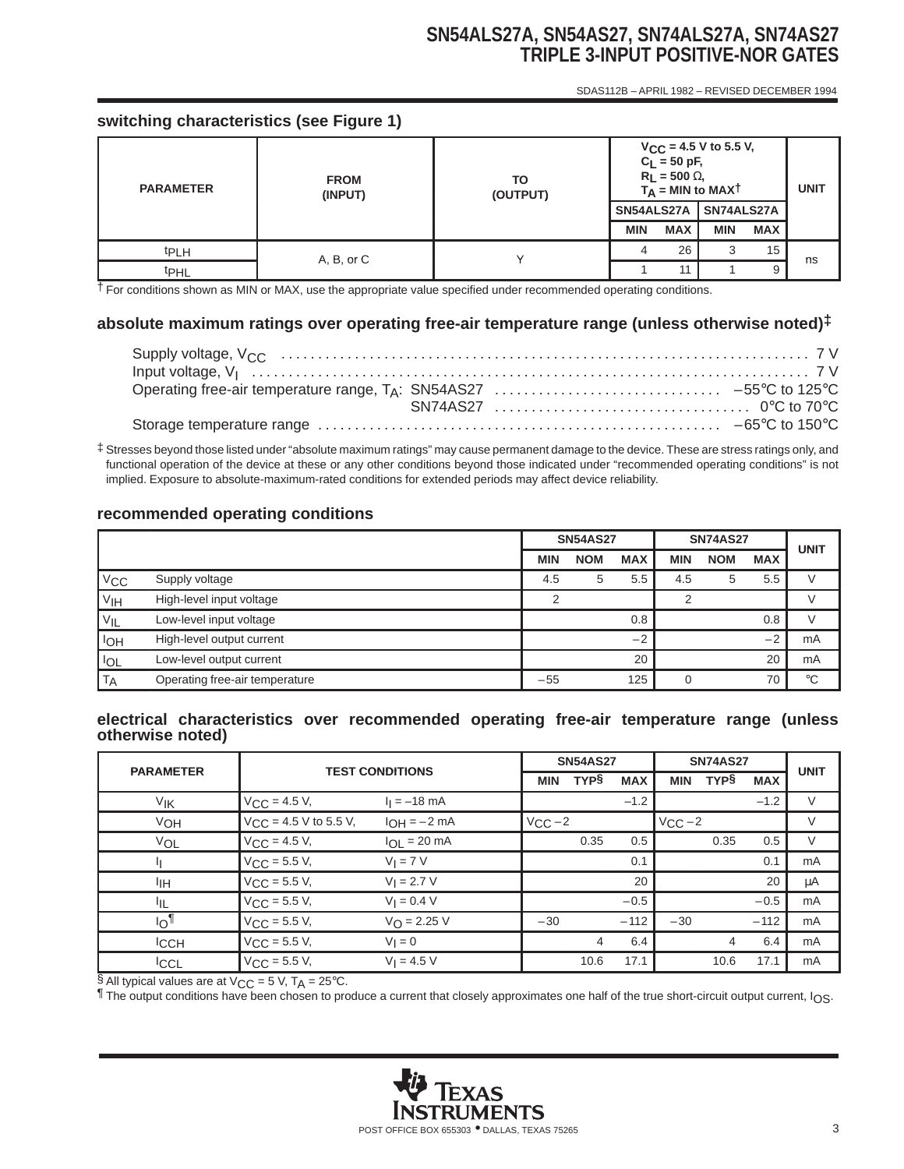# **SN54ALS27A, SN54AS27, SN74ALS27A, SN74AS27 TRIPLE 3-INPUT POSITIVE-NOR GATES**

SDAS112B – APRIL 1982 – REVISED DECEMBER 1994

## **switching characteristics (see Figure 1)**

| <b>PARAMETER</b> | <b>FROM</b><br>(INPUT) | ТО<br>(OUTPUT) | $V_{CC}$ = 4.5 V to 5.5 V,<br>$C_L = 50$ pF,<br>$R_L$ = 500 $\Omega$ ,<br>$T_A$ = MIN to MAXT | <b>UNIT</b> |            |            |    |
|------------------|------------------------|----------------|-----------------------------------------------------------------------------------------------|-------------|------------|------------|----|
|                  |                        |                | SN54ALS27A                                                                                    |             | SN74ALS27A |            |    |
|                  |                        |                | <b>MIN</b>                                                                                    | <b>MAX</b>  | <b>MIN</b> | <b>MAX</b> |    |
| <sup>t</sup> PLH | A, B, or C             |                |                                                                                               | 26          |            | 15         | ns |
| <b>t</b> PHL     |                        |                |                                                                                               |             |            | 9          |    |

† For conditions shown as MIN or MAX, use the appropriate value specified under recommended operating conditions.

## **absolute maximum ratings over operating free-air temperature range (unless otherwise noted)‡**

‡ Stresses beyond those listed under "absolute maximum ratings" may cause permanent damage to the device. These are stress ratings only, and functional operation of the device at these or any other conditions beyond those indicated under "recommended operating conditions" is not implied. Exposure to absolute-maximum-rated conditions for extended periods may affect device reliability.

#### **recommended operating conditions**

|                 |                                | <b>SN54AS27</b> |            | <b>SN74AS27</b> | <b>UNIT</b> |            |            |             |
|-----------------|--------------------------------|-----------------|------------|-----------------|-------------|------------|------------|-------------|
|                 |                                | <b>MIN</b>      | <b>NOM</b> | <b>MAX</b>      | <b>MIN</b>  | <b>NOM</b> | <b>MAX</b> |             |
| $V_{\rm CC}$    | Supply voltage                 | 4.5             | 5          | 5.5             | 4.5         | 5          | 5.5        |             |
| V <sub>IH</sub> | High-level input voltage       | າ               |            |                 | ⌒           |            |            |             |
| $V_{IL}$        | Low-level input voltage        |                 |            | 0.8             |             |            | 0.8        |             |
| loh             | High-level output current      |                 |            | $-2$            |             |            | $-2$       | mA          |
| <b>IOL</b>      | Low-level output current       |                 |            | 20              |             |            | 20         | mA          |
| <b>TA</b>       | Operating free-air temperature | $-55$           |            | 125             |             |            | 70         | $^{\circ}C$ |

#### **electrical characteristics over recommended operating free-air temperature range (unless otherwise noted)**

| <b>PARAMETER</b> | <b>TEST CONDITIONS</b>     |                         | <b>SN54AS27</b>   |             |            | <b>SN74AS27</b> | <b>UNIT</b> |            |    |
|------------------|----------------------------|-------------------------|-------------------|-------------|------------|-----------------|-------------|------------|----|
|                  |                            |                         | <b>MIN</b>        | <b>TYPS</b> | <b>MAX</b> | <b>MIN</b>      | <b>TYPS</b> | <b>MAX</b> |    |
| V <sub>IK</sub>  | $V_{\text{CC}} = 4.5 V,$   | $I_1 = -18$ mA          |                   |             | $-1.2$     |                 |             | $-1.2$     | V  |
| VOH              | $V_{CC}$ = 4.5 V to 5.5 V, | $I_{OH} = -2 mA$        | $V_{\text{CC}}-2$ |             |            | $V_{CC}$ -2     |             |            | V  |
| VOL              | $V_{CC}$ = 4.5 V,          | $I_{OL}$ = 20 mA        |                   | 0.35        | 0.5        |                 | 0.35        | 0.5        | V  |
| Щ                | $V_{CC}$ = 5.5 V,          | $V_I = 7 V$             |                   |             | 0.1        |                 |             | 0.1        | mA |
| ŀщ               | $V_{CC}$ = 5.5 V,          | $V_1 = 2.7 V$           |                   |             | 20         |                 |             | 20         | μA |
| ЧL               | $V_{CC}$ = 5.5 V,          | $V_1 = 0.4 V$           |                   |             | $-0.5$     |                 |             | $-0.5$     | mA |
| $I_{\bigcirc}$   | $V_{CC}$ = 5.5 V,          | $V_{\text{O}} = 2.25 V$ | $-30$             |             | $-112$     | $-30$           |             | $-112$     | mA |
| <b>ICCH</b>      | $V_{CC}$ = 5.5 V,          | $V_1 = 0$               |                   | 4           | 6.4        |                 | 4           | 6.4        | mA |
| <b>ICCL</b>      | $V_{\rm CC}$ = 5.5 V,      | $V_1 = 4.5 V$           |                   | 10.6        | 17.1       |                 | 10.6        | 17.1       | mA |

§ All typical values are at  $V_{CC}$  = 5 V, T<sub>A</sub> = 25°C.

¶ The output conditions have been chosen to produce a current that closely approximates one half of the true short-circuit output current, IOS.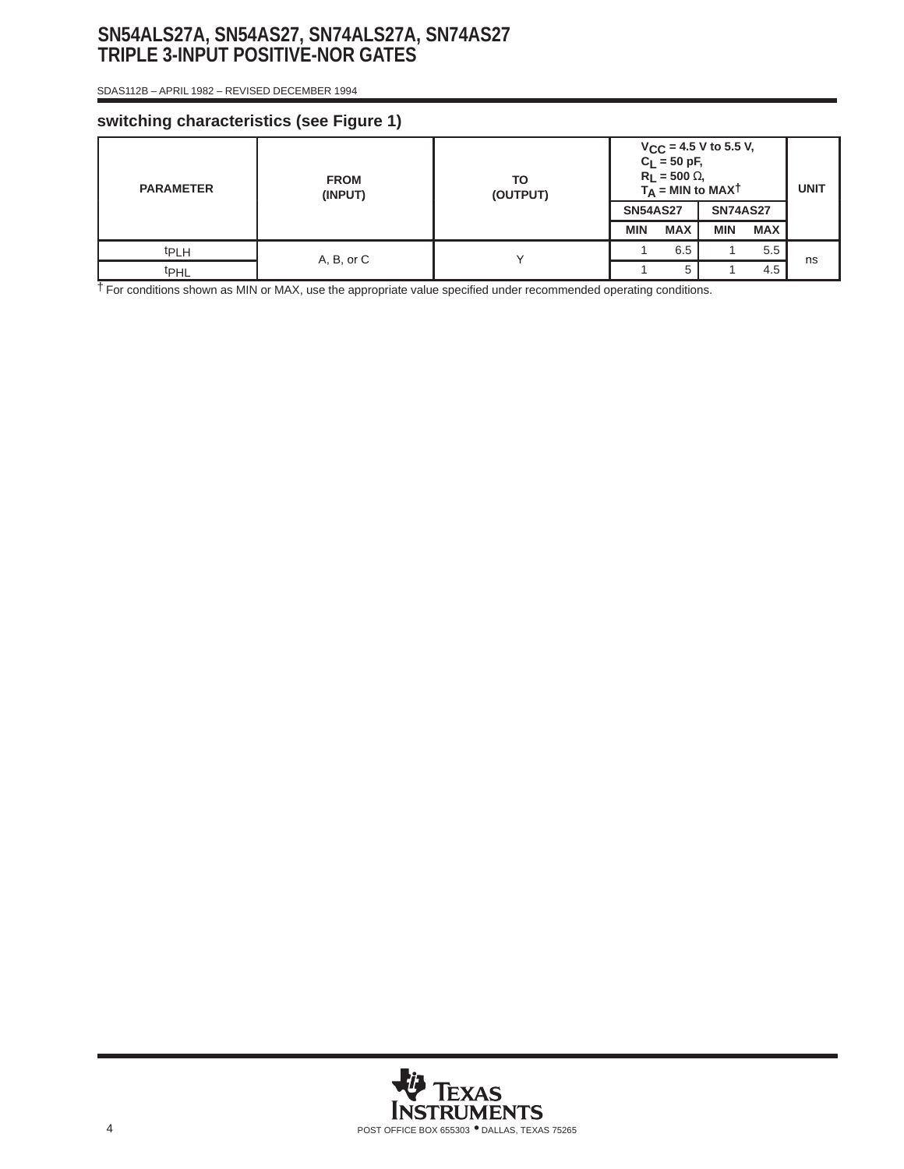# **SN54ALS27A, SN54AS27, SN74ALS27A, SN74AS27 TRIPLE 3-INPUT POSITIVE-NOR GATES**

SDAS112B – APRIL 1982 – REVISED DECEMBER 1994

## **switching characteristics (see Figure 1)**

| <b>PARAMETER</b> | <b>FROM</b><br>(INPUT) | TO<br>(OUTPUT) | $V_{CC}$ = 4.5 V to 5.5 V,<br>$C_L = 50$ pF,<br>$R_L$ = 500 $\Omega$ ,<br>$T_A$ = MIN to MAXT |            |                 |            | <b>UNIT</b> |
|------------------|------------------------|----------------|-----------------------------------------------------------------------------------------------|------------|-----------------|------------|-------------|
|                  |                        |                | <b>SN54AS27</b>                                                                               |            | <b>SN74AS27</b> |            |             |
|                  |                        |                | <b>MIN</b>                                                                                    | <b>MAX</b> | <b>MIN</b>      | <b>MAX</b> |             |
| <sup>t</sup> PLH | A, B, or C             |                |                                                                                               | 6.5        |                 | 5.5        | ns          |
| <b>t</b> PHL     |                        |                |                                                                                               | 5          |                 | 4.5        |             |

† For conditions shown as MIN or MAX, use the appropriate value specified under recommended operating conditions.